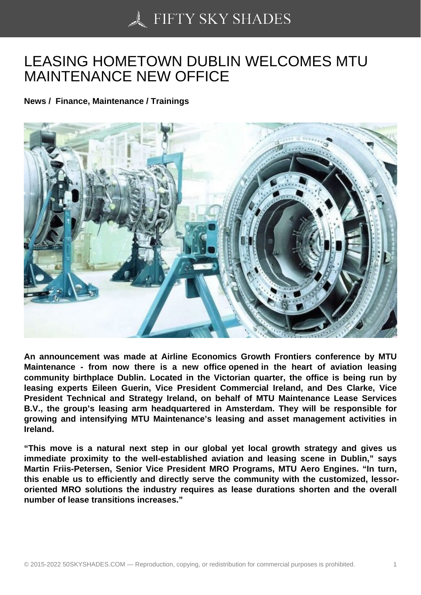## [LEASING HOMETOWN](https://50skyshades.com) DUBLIN WELCOMES MTU MAINTENANCE NEW OFFICE

News / Finance, Maintenance / Trainings

An announcement was made at Airline Economics Growth Frontiers conference by MTU Maintenance - from now there is a new office opened in the heart of aviation leasing community birthplace Dublin. Located in the Victorian quarter, the office is being run by leasing experts Eileen Guerin, Vice President Commercial Ireland, and Des Clarke, Vice President Technical and Strategy Ireland, on behalf of MTU Maintenance Lease Services B.V., the group's leasing arm headquartered in Amsterdam. They will be responsible for growing and intensifying MTU Maintenance's leasing and asset management activities in Ireland.

"This move is a natural next step in our global yet local growth strategy and gives us immediate proximity to the well-established aviation and leasing scene in Dublin," says Martin Friis-Petersen, Senior Vice President MRO Programs, MTU Aero Engines. "In turn, this enable us to efficiently and directly serve the community with the customized, lessororiented MRO solutions the industry requires as lease durations shorten and the overall number of lease transitions increases."